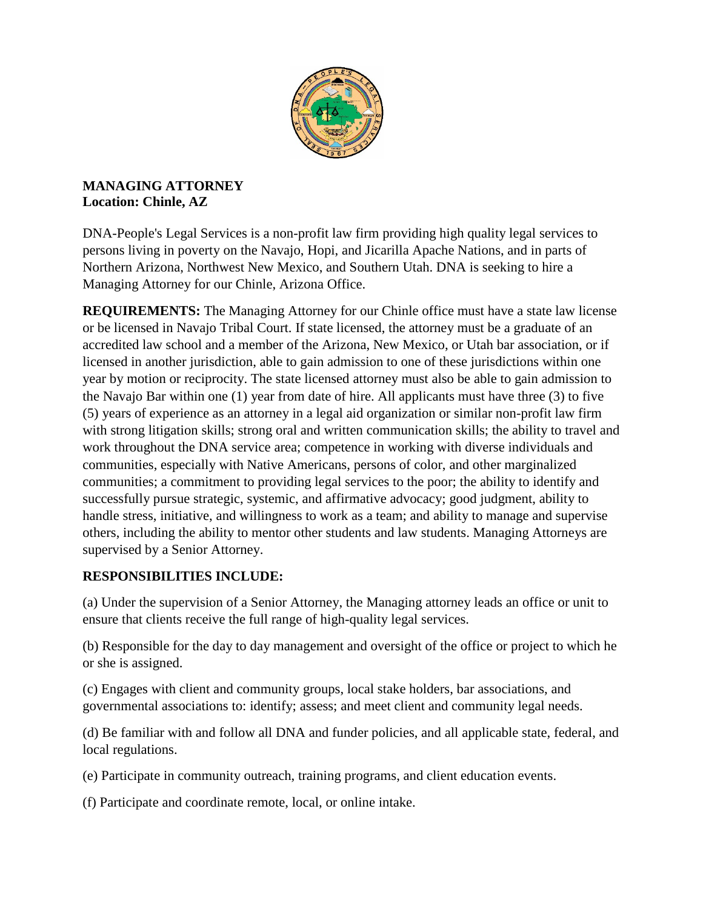

## **MANAGING ATTORNEY Location: Chinle, AZ**

DNA-People's Legal Services is a non-profit law firm providing high quality legal services to persons living in poverty on the Navajo, Hopi, and Jicarilla Apache Nations, and in parts of Northern Arizona, Northwest New Mexico, and Southern Utah. DNA is seeking to hire a Managing Attorney for our Chinle, Arizona Office.

**REQUIREMENTS:** The Managing Attorney for our Chinle office must have a state law license or be licensed in Navajo Tribal Court. If state licensed, the attorney must be a graduate of an accredited law school and a member of the Arizona, New Mexico, or Utah bar association, or if licensed in another jurisdiction, able to gain admission to one of these jurisdictions within one year by motion or reciprocity. The state licensed attorney must also be able to gain admission to the Navajo Bar within one (1) year from date of hire. All applicants must have three (3) to five (5) years of experience as an attorney in a legal aid organization or similar non-profit law firm with strong litigation skills; strong oral and written communication skills; the ability to travel and work throughout the DNA service area; competence in working with diverse individuals and communities, especially with Native Americans, persons of color, and other marginalized communities; a commitment to providing legal services to the poor; the ability to identify and successfully pursue strategic, systemic, and affirmative advocacy; good judgment, ability to handle stress, initiative, and willingness to work as a team; and ability to manage and supervise others, including the ability to mentor other students and law students. Managing Attorneys are supervised by a Senior Attorney.

## **RESPONSIBILITIES INCLUDE:**

(a) Under the supervision of a Senior Attorney, the Managing attorney leads an office or unit to ensure that clients receive the full range of high-quality legal services.

(b) Responsible for the day to day management and oversight of the office or project to which he or she is assigned.

(c) Engages with client and community groups, local stake holders, bar associations, and governmental associations to: identify; assess; and meet client and community legal needs.

(d) Be familiar with and follow all DNA and funder policies, and all applicable state, federal, and local regulations.

(e) Participate in community outreach, training programs, and client education events.

(f) Participate and coordinate remote, local, or online intake.